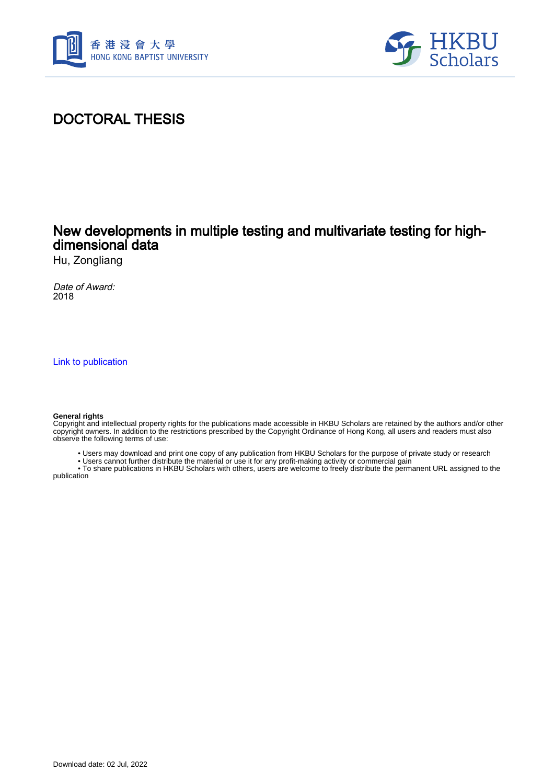



## DOCTORAL THESIS

## New developments in multiple testing and multivariate testing for highdimensional data

Hu, Zongliang

Date of Award: 2018

[Link to publication](https://scholars.hkbu.edu.hk/en/studentTheses/b69f2dcc-3a3a-496d-96d7-deb3a59b2693)

#### **General rights**

Copyright and intellectual property rights for the publications made accessible in HKBU Scholars are retained by the authors and/or other copyright owners. In addition to the restrictions prescribed by the Copyright Ordinance of Hong Kong, all users and readers must also observe the following terms of use:

- Users may download and print one copy of any publication from HKBU Scholars for the purpose of private study or research
- Users cannot further distribute the material or use it for any profit-making activity or commercial gain

 • To share publications in HKBU Scholars with others, users are welcome to freely distribute the permanent URL assigned to the publication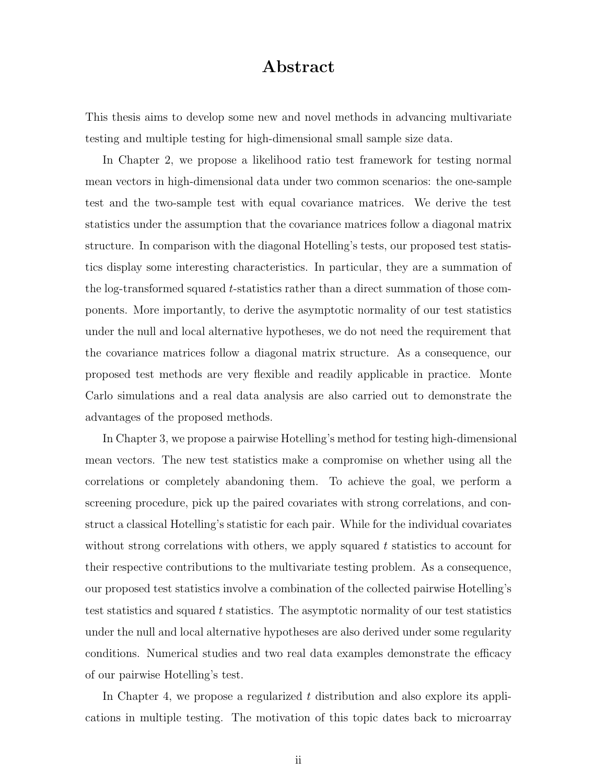### Abstract

This thesis aims to develop some new and novel methods in advancing multivariate testing and multiple testing for high-dimensional small sample size data.

In Chapter 2, we propose a likelihood ratio test framework for testing normal mean vectors in high-dimensional data under two common scenarios: the one-sample test and the two-sample test with equal covariance matrices. We derive the test statistics under the assumption that the covariance matrices follow a diagonal matrix structure. In comparison with the diagonal Hotelling's tests, our proposed test statistics display some interesting characteristics. In particular, they are a summation of the log-transformed squared t-statistics rather than a direct summation of those components. More importantly, to derive the asymptotic normality of our test statistics under the null and local alternative hypotheses, we do not need the requirement that the covariance matrices follow a diagonal matrix structure. As a consequence, our proposed test methods are very flexible and readily applicable in practice. Monte Carlo simulations and a real data analysis are also carried out to demonstrate the advantages of the proposed methods.

In Chapter 3, we propose a pairwise Hotelling's method for testing high-dimensional mean vectors. The new test statistics make a compromise on whether using all the correlations or completely abandoning them. To achieve the goal, we perform a screening procedure, pick up the paired covariates with strong correlations, and construct a classical Hotelling's statistic for each pair. While for the individual covariates without strong correlations with others, we apply squared  $t$  statistics to account for their respective contributions to the multivariate testing problem. As a consequence, our proposed test statistics involve a combination of the collected pairwise Hotelling's test statistics and squared  $t$  statistics. The asymptotic normality of our test statistics under the null and local alternative hypotheses are also derived under some regularity conditions. Numerical studies and two real data examples demonstrate the efficacy of our pairwise Hotelling's test.

In Chapter 4, we propose a regularized  $t$  distribution and also explore its applications in multiple testing. The motivation of this topic dates back to microarray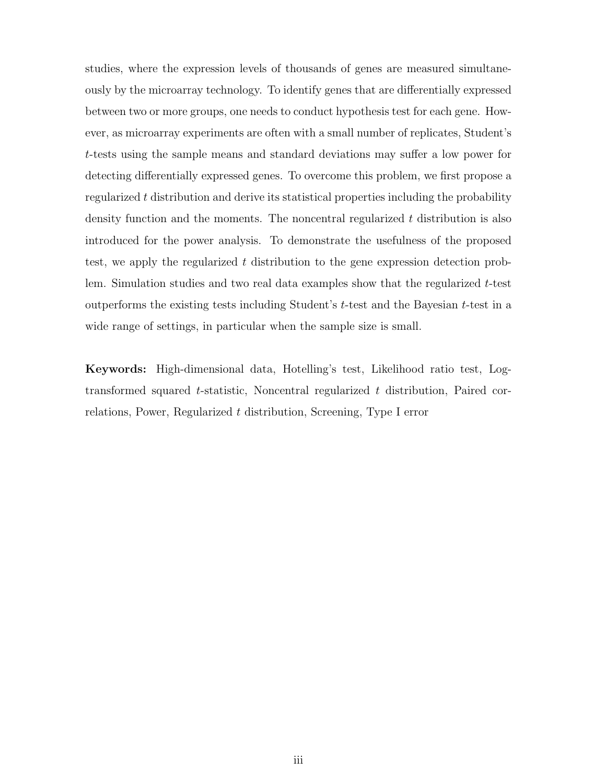studies, where the expression levels of thousands of genes are measured simultaneously by the microarray technology. To identify genes that are differentially expressed between two or more groups, one needs to conduct hypothesis test for each gene. However, as microarray experiments are often with a small number of replicates, Student's t-tests using the sample means and standard deviations may suffer a low power for detecting differentially expressed genes. To overcome this problem, we first propose a regularized t distribution and derive its statistical properties including the probability density function and the moments. The noncentral regularized t distribution is also introduced for the power analysis. To demonstrate the usefulness of the proposed test, we apply the regularized t distribution to the gene expression detection problem. Simulation studies and two real data examples show that the regularized t-test outperforms the existing tests including Student's  $t$ -test and the Bayesian  $t$ -test in a wide range of settings, in particular when the sample size is small.

Keywords: High-dimensional data, Hotelling's test, Likelihood ratio test, Logtransformed squared t-statistic, Noncentral regularized t distribution, Paired correlations, Power, Regularized t distribution, Screening, Type I error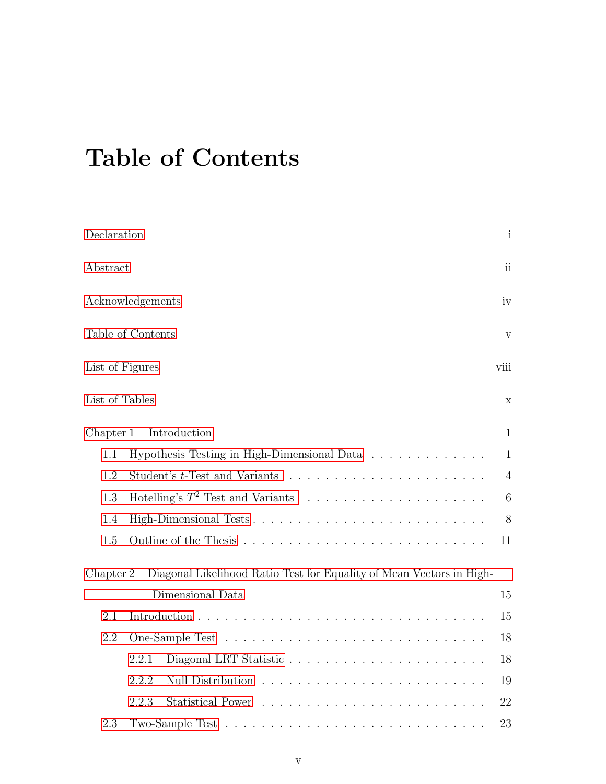# Table of Contents

| Declaration             |                                                                      | $\mathbf{i}$    |  |  |
|-------------------------|----------------------------------------------------------------------|-----------------|--|--|
| Abstract                |                                                                      |                 |  |  |
| Acknowledgements        |                                                                      |                 |  |  |
| Table of Contents       |                                                                      |                 |  |  |
| List of Figures<br>viii |                                                                      |                 |  |  |
| List of Tables          |                                                                      | X               |  |  |
| Chapter 1               | Introduction                                                         | $\mathbf{1}$    |  |  |
| 1.1                     | Hypothesis Testing in High-Dimensional Data                          | $\mathbf{1}$    |  |  |
| 1.2                     |                                                                      | $\overline{4}$  |  |  |
| 1.3                     |                                                                      | $6\phantom{.}6$ |  |  |
| 1.4                     | 8                                                                    |                 |  |  |
| 1.5                     | 11                                                                   |                 |  |  |
| Chapter 2               | Diagonal Likelihood Ratio Test for Equality of Mean Vectors in High- |                 |  |  |
|                         | Dimensional Data                                                     | 15              |  |  |
| 2.1                     |                                                                      | 15              |  |  |
| 2.2                     |                                                                      | 18              |  |  |
|                         | 2.2.1                                                                | 18              |  |  |
|                         | 2.2.2                                                                | 19              |  |  |
|                         | 2.2.3                                                                | 22              |  |  |
| 2.3                     | 23                                                                   |                 |  |  |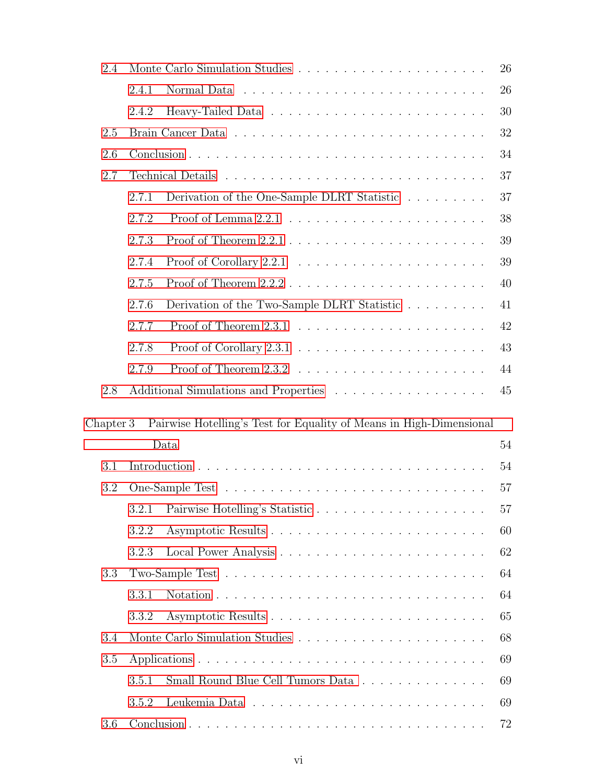| 2.4       |       |                                                                     | 26 |  |  |
|-----------|-------|---------------------------------------------------------------------|----|--|--|
|           | 2.4.1 |                                                                     | 26 |  |  |
|           | 2.4.2 |                                                                     | 30 |  |  |
| 2.5       |       |                                                                     |    |  |  |
| 2.6       |       |                                                                     | 34 |  |  |
| 2.7       |       |                                                                     | 37 |  |  |
|           | 2.7.1 | Derivation of the One-Sample DLRT Statistic                         | 37 |  |  |
|           | 2.7.2 |                                                                     | 38 |  |  |
|           | 2.7.3 |                                                                     | 39 |  |  |
|           | 2.7.4 |                                                                     | 39 |  |  |
|           | 2.7.5 |                                                                     | 40 |  |  |
|           | 2.7.6 | Derivation of the Two-Sample DLRT Statistic                         | 41 |  |  |
|           | 2.7.7 |                                                                     | 42 |  |  |
|           | 2.7.8 |                                                                     | 43 |  |  |
|           | 2.7.9 |                                                                     | 44 |  |  |
| 2.8       |       | Additional Simulations and Properties                               | 45 |  |  |
|           |       |                                                                     |    |  |  |
| Chapter 3 |       | Pairwise Hotelling's Test for Equality of Means in High-Dimensional |    |  |  |
|           |       | Data                                                                | 54 |  |  |
| 3.1       |       |                                                                     | 54 |  |  |
| 3.2       |       |                                                                     | 57 |  |  |
|           | 3.2.1 | Pairwise Hotelling's Statistic                                      | 57 |  |  |
|           | 3.2.2 |                                                                     | 60 |  |  |
|           | 3.2.3 |                                                                     | 62 |  |  |
| 3.3       |       |                                                                     | 64 |  |  |
|           | 3.3.1 |                                                                     | 64 |  |  |
|           | 3.3.2 |                                                                     | 65 |  |  |
| 3.4       |       |                                                                     | 68 |  |  |
| 3.5       |       |                                                                     | 69 |  |  |
|           | 3.5.1 | Small Round Blue Cell Tumors Data                                   | 69 |  |  |
|           | 3.5.2 |                                                                     | 69 |  |  |
| 3.6       |       |                                                                     | 72 |  |  |